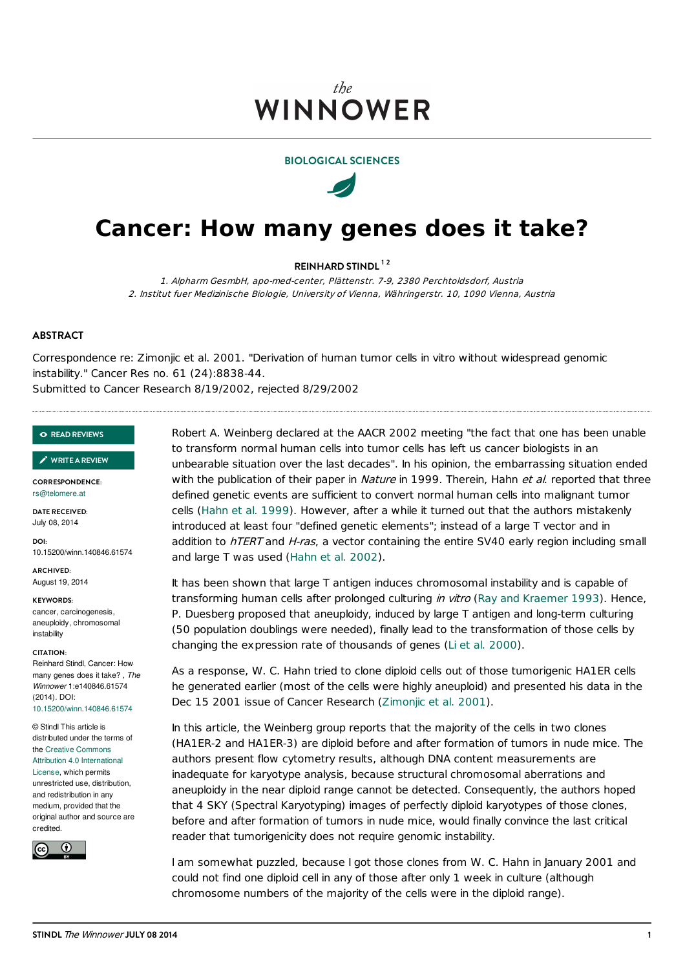## the **WINNOWER**

#### **BIOLOGICAL SCIENCES**



# **Cancer: How many genes does it take?**

**REINHARD STINDL 1 2**

1. Alpharm GesmbH, apo-med-center, Plättenstr. 7-9, 2380 Perchtoldsdorf, Austria 2. Institut fuer Medizinische Biologie, University of Vienna, Währingerstr. 10, 1090 Vienna, Austria

#### **ABSTRACT**

Correspondence re: Zimonjic et al. 2001. "Derivation of human tumor cells in vitro without widespread genomic instability." Cancer Res no. 61 (24):8838-44.

Submitted to Cancer Research 8/19/2002, rejected 8/29/2002

#### **READ [REVIEWS](https://thewinnower.com/papers/cancer-how-many-genes-does-it-take?review_it=true)**

#### **[WRITEAREVIEW](https://thewinnower.com/papers/cancer-how-many-genes-does-it-take?review_it=true)** ✎

**CORRESPONDENCE:** [rs@telomere.at](mailto:rs@telomere.at)

**DATE RECEIVED:** July 08, 2014

**DOI:** 10.15200/winn.140846.61574

**ARCHIVED:** August 19, 2014

**KEYWORDS:** cancer, carcinogenesis, aneuploidy, chromosomal instability

#### **CITATION:**

Reinhard Stindl, Cancer: How many genes does it take? , *The Winnower* 1:e140846.61574 (2014). DOI: [10.15200/winn.140846.61574](http://dx.doi.org/10.15200/winn.140846.61574)

#### © Stindl This article is distributed under the terms of the Creative Commons Attribution 4.0 [International](http://creativecommons.org/licenses/by/4.0/)

License, which permits unrestricted use, distribution, and redistribution in any medium, provided that the original author and source are credited.



Robert A. Weinberg declared at the AACR 2002 meeting "the fact that one has been unable to transform normal human cells into tumor cells has left us cancer biologists in an unbearable situation over the last decades". In his opinion, the embarrassing situation ended with the publication of their paper in Nature in 1999. Therein, Hahn et al. reported that three defined genetic events are sufficient to convert normal human cells into malignant tumor cells [\(Hahn](#page-3-0) et al. 1999). However, after a while it turned out that the authors mistakenly introduced at least four "defined genetic elements"; instead of a large T vector and in addition to  $h$ TERT and H-ras, a vector containing the entire SV40 early region including small and large T was used [\(Hahn](#page-3-1) et al. 2002).

It has been shown that large T antigen induces chromosomal instability and is capable of transforming human cells after prolonged culturing in vitro (Ray and [Kraemer](#page-3-2) 1993). Hence, P. Duesberg proposed that aneuploidy, induced by large T antigen and long-term culturing (50 population doublings were needed), finally lead to the transformation of those cells by changing the expression rate of thousands of genes (Li et al. [2000](#page-3-3)).

As a response, W. C. Hahn tried to clone diploid cells out of those tumorigenic HA1ER cells he generated earlier (most of the cells were highly aneuploid) and presented his data in the Dec 15 2001 issue of Cancer Research ([Zimonjic](#page-3-4) et al. 2001).

In this article, the Weinberg group reports that the majority of the cells in two clones (HA1ER-2 and HA1ER-3) are diploid before and after formation of tumors in nude mice. The authors present flow cytometry results, although DNA content measurements are inadequate for karyotype analysis, because structural chromosomal aberrations and aneuploidy in the near diploid range cannot be detected. Consequently, the authors hoped that 4 SKY (Spectral Karyotyping) images of perfectly diploid karyotypes of those clones, before and after formation of tumors in nude mice, would finally convince the last critical reader that tumorigenicity does not require genomic instability.

I am somewhat puzzled, because I got those clones from W. C. Hahn in January 2001 and could not find one diploid cell in any of those after only 1 week in culture (although chromosome numbers of the majority of the cells were in the diploid range).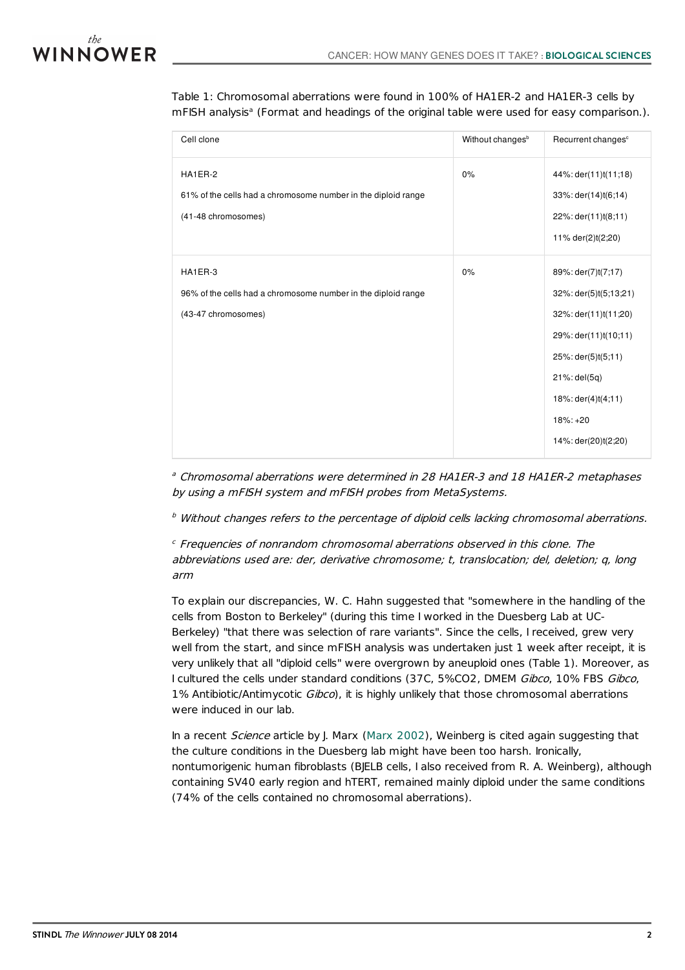

Table 1: Chromosomal aberrations were found in 100% of HA1ER-2 and HA1ER-3 cells by mFISH analysis<sup>a</sup> (Format and headings of the original table were used for easy comparison.).

| Cell clone                                                                                      | Without changes <sup>b</sup> | Recurrent changes <sup>c</sup>                                                                                                                                                                                   |
|-------------------------------------------------------------------------------------------------|------------------------------|------------------------------------------------------------------------------------------------------------------------------------------------------------------------------------------------------------------|
| HA1ER-2<br>61% of the cells had a chromosome number in the diploid range<br>(41-48 chromosomes) | 0%                           | 44%: der(11)t(11;18)<br>33%: der(14)t(6;14)<br>22%: der(11)t(8;11)<br>11% der(2)t(2;20)                                                                                                                          |
| HA1ER-3<br>96% of the cells had a chromosome number in the diploid range<br>(43-47 chromosomes) | 0%                           | 89%: der(7)t(7;17)<br>32%: der(5)t(5;13;21)<br>32%: der(11)t(11;20)<br>29%: der(11)t(10;11)<br>25%: der(5)t(5;11)<br>$21\%$ : del $(5q)$<br>$18\%$ : der $(4)$ t $(4, 11)$<br>$18\%: +20$<br>14%: der(20)t(2;20) |

<sup>a</sup> Chromosomal aberrations were determined in 28 HA1ER-3 and 18 HA1ER-2 metaphases by using <sup>a</sup> mFISH system and mFISH probes from MetaSystems.

 $<sup>b</sup>$  Without changes refers to the percentage of diploid cells lacking chromosomal aberrations.</sup>

<sup>c</sup> Frequencies of nonrandom chromosomal aberrations observed in this clone. The abbreviations used are: der, derivative chromosome; t, translocation; del, deletion; q, long arm

To explain our discrepancies, W. C. Hahn suggested that "somewhere in the handling of the cells from Boston to Berkeley" (during this time I worked in the Duesberg Lab at UC-Berkeley) "that there was selection of rare variants". Since the cells, I received, grew very well from the start, and since mFISH analysis was undertaken just 1 week after receipt, it is very unlikely that all "diploid cells" were overgrown by aneuploid ones (Table 1). Moreover, as I cultured the cells under standard conditions (37C, 5%CO2, DMEM Gibco, 10% FBS Gibco, 1% Antibiotic/Antimycotic Gibco), it is highly unlikely that those chromosomal aberrations were induced in our lab.

In a recent *Science* article by J. Marx (Marx [2002](#page-3-5)), Weinberg is cited again suggesting that the culture conditions in the Duesberg lab might have been too harsh. Ironically, nontumorigenic human fibroblasts (BJELB cells, I also received from R. A. Weinberg), although containing SV40 early region and hTERT, remained mainly diploid under the same conditions (74% of the cells contained no chromosomal aberrations).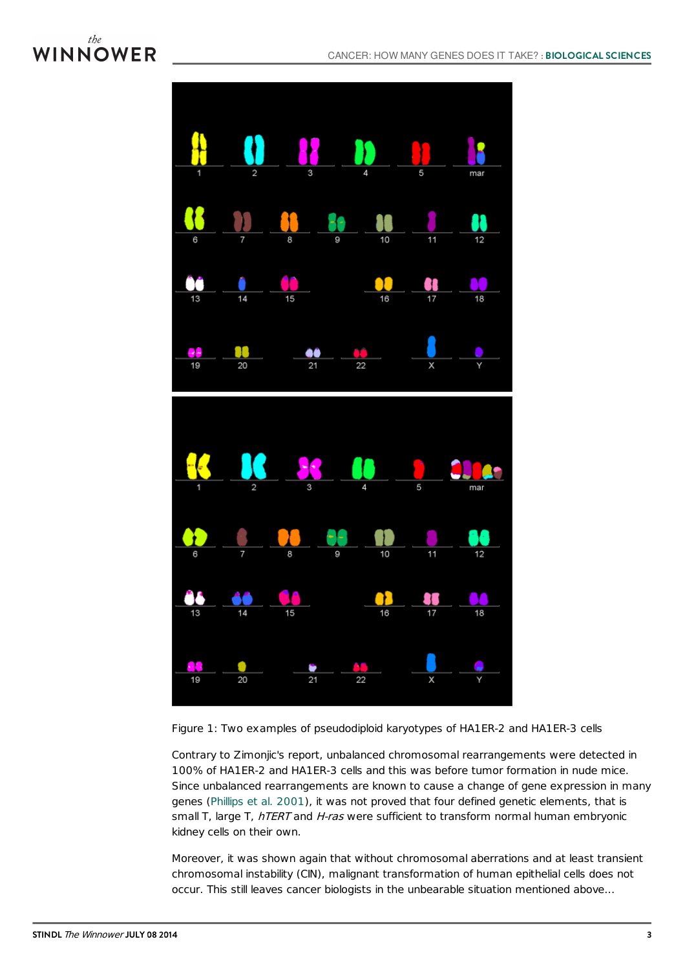## the WINNOWER



Figure 1: Two examples of pseudodiploid karyotypes of HA1ER-2 and HA1ER-3 cells

Contrary to Zimonjic's report, unbalanced chromosomal rearrangements were detected in 100% of HA1ER-2 and HA1ER-3 cells and this was before tumor formation in nude mice. Since unbalanced rearrangements are known to cause a change of gene expression in many genes [\(Phillips](#page-3-6) et al. 2001), it was not proved that four defined genetic elements, that is small T, large T, hTERT and H-ras were sufficient to transform normal human embryonic kidney cells on their own.

Moreover, it was shown again that without chromosomal aberrations and at least transient chromosomal instability (CIN), malignant transformation of human epithelial cells does not occur. This still leaves cancer biologists in the unbearable situation mentioned above...